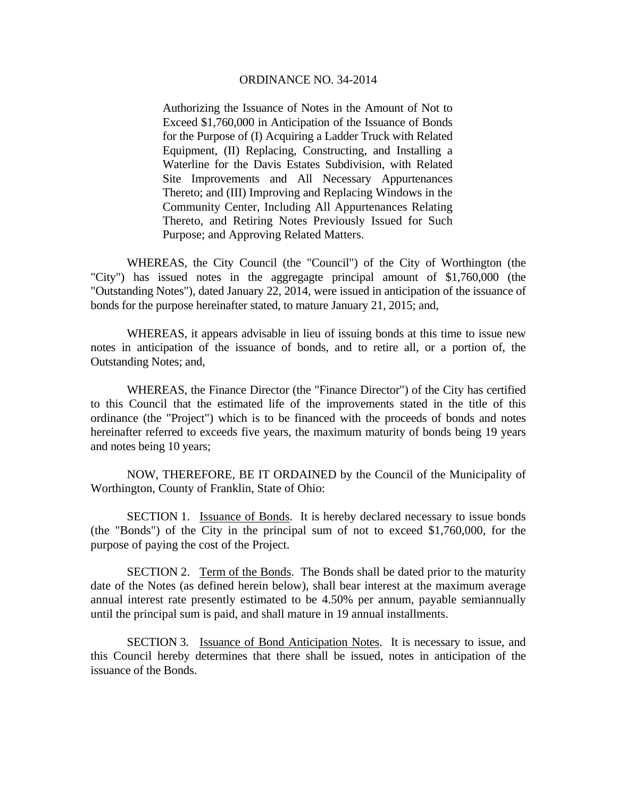Authorizing the Issuance of Notes in the Amount of Not to Exceed \$1,760,000 in Anticipation of the Issuance of Bonds for the Purpose of (I) Acquiring a Ladder Truck with Related Equipment, (II) Replacing, Constructing, and Installing a Waterline for the Davis Estates Subdivision, with Related Site Improvements and All Necessary Appurtenances Thereto; and (III) Improving and Replacing Windows in the Community Center, Including All Appurtenances Relating Thereto, and Retiring Notes Previously Issued for Such Purpose; and Approving Related Matters.

 WHEREAS, the City Council (the "Council") of the City of Worthington (the "City") has issued notes in the aggregagte principal amount of \$1,760,000 (the "Outstanding Notes"), dated January 22, 2014, were issued in anticipation of the issuance of bonds for the purpose hereinafter stated, to mature January 21, 2015; and,

 WHEREAS, it appears advisable in lieu of issuing bonds at this time to issue new notes in anticipation of the issuance of bonds, and to retire all, or a portion of, the Outstanding Notes; and,

 WHEREAS, the Finance Director (the "Finance Director") of the City has certified to this Council that the estimated life of the improvements stated in the title of this ordinance (the "Project") which is to be financed with the proceeds of bonds and notes hereinafter referred to exceeds five years, the maximum maturity of bonds being 19 years and notes being 10 years;

 NOW, THEREFORE, BE IT ORDAINED by the Council of the Municipality of Worthington, County of Franklin, State of Ohio:

SECTION 1. Issuance of Bonds. It is hereby declared necessary to issue bonds (the "Bonds") of the City in the principal sum of not to exceed \$1,760,000, for the purpose of paying the cost of the Project.

SECTION 2. Term of the Bonds. The Bonds shall be dated prior to the maturity date of the Notes (as defined herein below), shall bear interest at the maximum average annual interest rate presently estimated to be 4.50% per annum, payable semiannually until the principal sum is paid, and shall mature in 19 annual installments.

SECTION 3. Issuance of Bond Anticipation Notes. It is necessary to issue, and this Council hereby determines that there shall be issued, notes in anticipation of the issuance of the Bonds.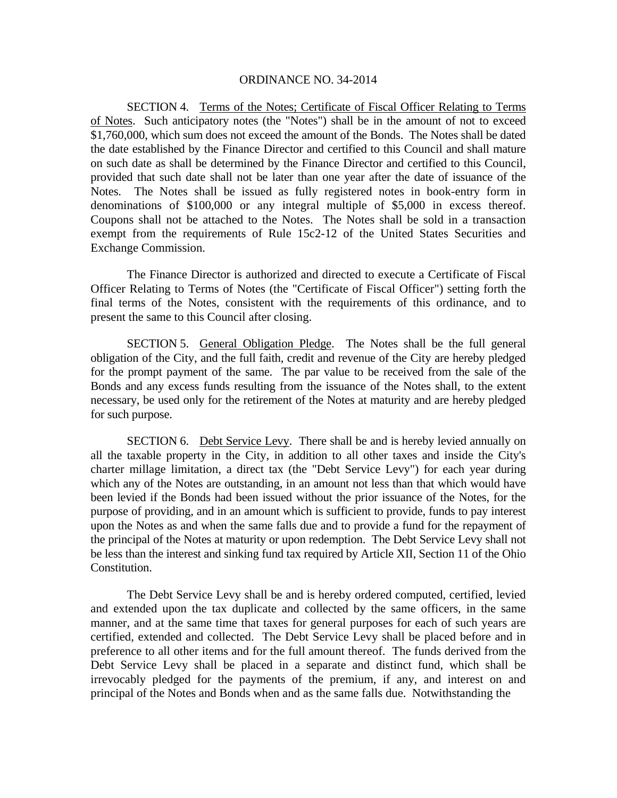SECTION 4. Terms of the Notes; Certificate of Fiscal Officer Relating to Terms of Notes. Such anticipatory notes (the "Notes") shall be in the amount of not to exceed \$1,760,000, which sum does not exceed the amount of the Bonds. The Notes shall be dated the date established by the Finance Director and certified to this Council and shall mature on such date as shall be determined by the Finance Director and certified to this Council, provided that such date shall not be later than one year after the date of issuance of the Notes. The Notes shall be issued as fully registered notes in book-entry form in denominations of \$100,000 or any integral multiple of \$5,000 in excess thereof. Coupons shall not be attached to the Notes. The Notes shall be sold in a transaction exempt from the requirements of Rule 15c2-12 of the United States Securities and Exchange Commission.

 The Finance Director is authorized and directed to execute a Certificate of Fiscal Officer Relating to Terms of Notes (the "Certificate of Fiscal Officer") setting forth the final terms of the Notes, consistent with the requirements of this ordinance, and to present the same to this Council after closing.

SECTION 5. General Obligation Pledge. The Notes shall be the full general obligation of the City, and the full faith, credit and revenue of the City are hereby pledged for the prompt payment of the same. The par value to be received from the sale of the Bonds and any excess funds resulting from the issuance of the Notes shall, to the extent necessary, be used only for the retirement of the Notes at maturity and are hereby pledged for such purpose.

SECTION 6. Debt Service Levy. There shall be and is hereby levied annually on all the taxable property in the City, in addition to all other taxes and inside the City's charter millage limitation, a direct tax (the "Debt Service Levy") for each year during which any of the Notes are outstanding, in an amount not less than that which would have been levied if the Bonds had been issued without the prior issuance of the Notes, for the purpose of providing, and in an amount which is sufficient to provide, funds to pay interest upon the Notes as and when the same falls due and to provide a fund for the repayment of the principal of the Notes at maturity or upon redemption. The Debt Service Levy shall not be less than the interest and sinking fund tax required by Article XII, Section 11 of the Ohio Constitution.

The Debt Service Levy shall be and is hereby ordered computed, certified, levied and extended upon the tax duplicate and collected by the same officers, in the same manner, and at the same time that taxes for general purposes for each of such years are certified, extended and collected. The Debt Service Levy shall be placed before and in preference to all other items and for the full amount thereof. The funds derived from the Debt Service Levy shall be placed in a separate and distinct fund, which shall be irrevocably pledged for the payments of the premium, if any, and interest on and principal of the Notes and Bonds when and as the same falls due. Notwithstanding the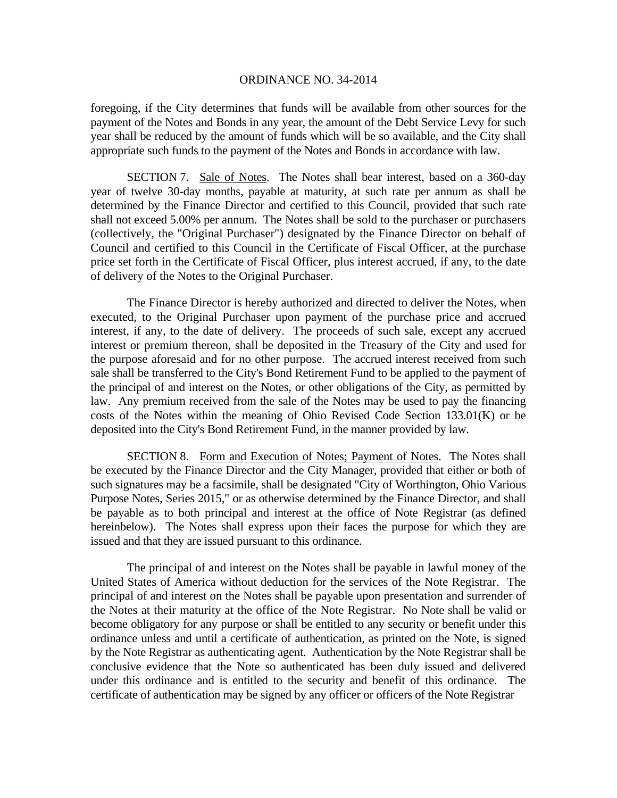foregoing, if the City determines that funds will be available from other sources for the payment of the Notes and Bonds in any year, the amount of the Debt Service Levy for such year shall be reduced by the amount of funds which will be so available, and the City shall appropriate such funds to the payment of the Notes and Bonds in accordance with law.

SECTION 7. Sale of Notes. The Notes shall bear interest, based on a 360-day year of twelve 30-day months, payable at maturity, at such rate per annum as shall be determined by the Finance Director and certified to this Council, provided that such rate shall not exceed 5.00% per annum. The Notes shall be sold to the purchaser or purchasers (collectively, the "Original Purchaser") designated by the Finance Director on behalf of Council and certified to this Council in the Certificate of Fiscal Officer, at the purchase price set forth in the Certificate of Fiscal Officer, plus interest accrued, if any, to the date of delivery of the Notes to the Original Purchaser.

 The Finance Director is hereby authorized and directed to deliver the Notes, when executed, to the Original Purchaser upon payment of the purchase price and accrued interest, if any, to the date of delivery. The proceeds of such sale, except any accrued interest or premium thereon, shall be deposited in the Treasury of the City and used for the purpose aforesaid and for no other purpose. The accrued interest received from such sale shall be transferred to the City's Bond Retirement Fund to be applied to the payment of the principal of and interest on the Notes, or other obligations of the City, as permitted by law. Any premium received from the sale of the Notes may be used to pay the financing costs of the Notes within the meaning of Ohio Revised Code Section 133.01(K) or be deposited into the City's Bond Retirement Fund, in the manner provided by law.

SECTION 8. Form and Execution of Notes; Payment of Notes. The Notes shall be executed by the Finance Director and the City Manager, provided that either or both of such signatures may be a facsimile, shall be designated "City of Worthington, Ohio Various Purpose Notes, Series 2015," or as otherwise determined by the Finance Director, and shall be payable as to both principal and interest at the office of Note Registrar (as defined hereinbelow). The Notes shall express upon their faces the purpose for which they are issued and that they are issued pursuant to this ordinance.

The principal of and interest on the Notes shall be payable in lawful money of the United States of America without deduction for the services of the Note Registrar. The principal of and interest on the Notes shall be payable upon presentation and surrender of the Notes at their maturity at the office of the Note Registrar. No Note shall be valid or become obligatory for any purpose or shall be entitled to any security or benefit under this ordinance unless and until a certificate of authentication, as printed on the Note, is signed by the Note Registrar as authenticating agent. Authentication by the Note Registrar shall be conclusive evidence that the Note so authenticated has been duly issued and delivered under this ordinance and is entitled to the security and benefit of this ordinance. The certificate of authentication may be signed by any officer or officers of the Note Registrar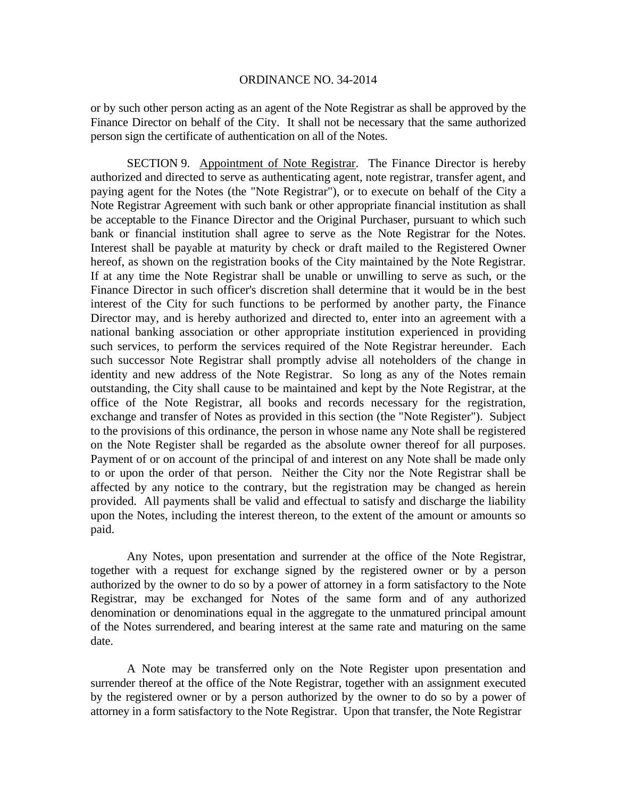or by such other person acting as an agent of the Note Registrar as shall be approved by the Finance Director on behalf of the City. It shall not be necessary that the same authorized person sign the certificate of authentication on all of the Notes.

SECTION 9. Appointment of Note Registrar. The Finance Director is hereby authorized and directed to serve as authenticating agent, note registrar, transfer agent, and paying agent for the Notes (the "Note Registrar"), or to execute on behalf of the City a Note Registrar Agreement with such bank or other appropriate financial institution as shall be acceptable to the Finance Director and the Original Purchaser, pursuant to which such bank or financial institution shall agree to serve as the Note Registrar for the Notes. Interest shall be payable at maturity by check or draft mailed to the Registered Owner hereof, as shown on the registration books of the City maintained by the Note Registrar. If at any time the Note Registrar shall be unable or unwilling to serve as such, or the Finance Director in such officer's discretion shall determine that it would be in the best interest of the City for such functions to be performed by another party, the Finance Director may, and is hereby authorized and directed to, enter into an agreement with a national banking association or other appropriate institution experienced in providing such services, to perform the services required of the Note Registrar hereunder. Each such successor Note Registrar shall promptly advise all noteholders of the change in identity and new address of the Note Registrar. So long as any of the Notes remain outstanding, the City shall cause to be maintained and kept by the Note Registrar, at the office of the Note Registrar, all books and records necessary for the registration, exchange and transfer of Notes as provided in this section (the "Note Register"). Subject to the provisions of this ordinance, the person in whose name any Note shall be registered on the Note Register shall be regarded as the absolute owner thereof for all purposes. Payment of or on account of the principal of and interest on any Note shall be made only to or upon the order of that person. Neither the City nor the Note Registrar shall be affected by any notice to the contrary, but the registration may be changed as herein provided. All payments shall be valid and effectual to satisfy and discharge the liability upon the Notes, including the interest thereon, to the extent of the amount or amounts so paid.

Any Notes, upon presentation and surrender at the office of the Note Registrar, together with a request for exchange signed by the registered owner or by a person authorized by the owner to do so by a power of attorney in a form satisfactory to the Note Registrar, may be exchanged for Notes of the same form and of any authorized denomination or denominations equal in the aggregate to the unmatured principal amount of the Notes surrendered, and bearing interest at the same rate and maturing on the same date.

A Note may be transferred only on the Note Register upon presentation and surrender thereof at the office of the Note Registrar, together with an assignment executed by the registered owner or by a person authorized by the owner to do so by a power of attorney in a form satisfactory to the Note Registrar. Upon that transfer, the Note Registrar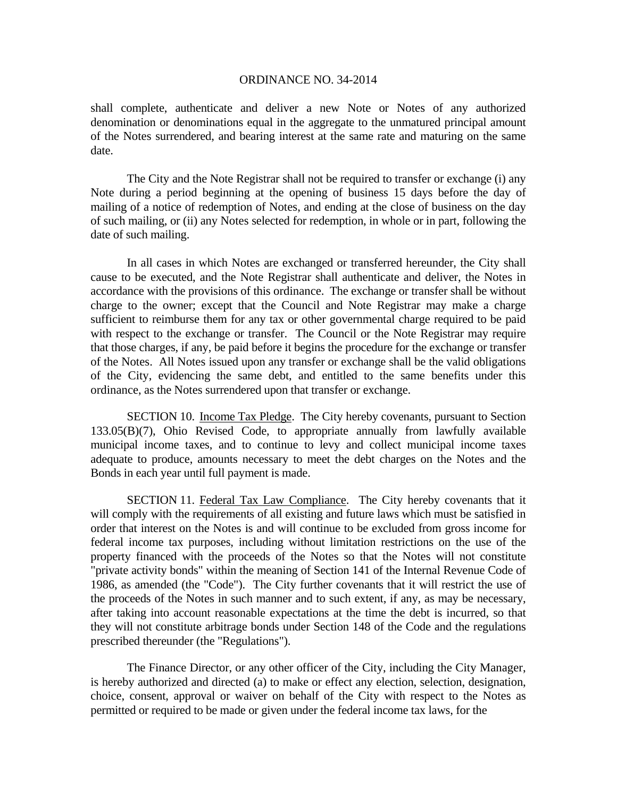shall complete, authenticate and deliver a new Note or Notes of any authorized denomination or denominations equal in the aggregate to the unmatured principal amount of the Notes surrendered, and bearing interest at the same rate and maturing on the same date.

The City and the Note Registrar shall not be required to transfer or exchange (i) any Note during a period beginning at the opening of business 15 days before the day of mailing of a notice of redemption of Notes, and ending at the close of business on the day of such mailing, or (ii) any Notes selected for redemption, in whole or in part, following the date of such mailing.

In all cases in which Notes are exchanged or transferred hereunder, the City shall cause to be executed, and the Note Registrar shall authenticate and deliver, the Notes in accordance with the provisions of this ordinance. The exchange or transfer shall be without charge to the owner; except that the Council and Note Registrar may make a charge sufficient to reimburse them for any tax or other governmental charge required to be paid with respect to the exchange or transfer. The Council or the Note Registrar may require that those charges, if any, be paid before it begins the procedure for the exchange or transfer of the Notes. All Notes issued upon any transfer or exchange shall be the valid obligations of the City, evidencing the same debt, and entitled to the same benefits under this ordinance, as the Notes surrendered upon that transfer or exchange.

SECTION 10. Income Tax Pledge. The City hereby covenants, pursuant to Section 133.05(B)(7), Ohio Revised Code, to appropriate annually from lawfully available municipal income taxes, and to continue to levy and collect municipal income taxes adequate to produce, amounts necessary to meet the debt charges on the Notes and the Bonds in each year until full payment is made.

SECTION 11. Federal Tax Law Compliance. The City hereby covenants that it will comply with the requirements of all existing and future laws which must be satisfied in order that interest on the Notes is and will continue to be excluded from gross income for federal income tax purposes, including without limitation restrictions on the use of the property financed with the proceeds of the Notes so that the Notes will not constitute "private activity bonds" within the meaning of Section 141 of the Internal Revenue Code of 1986, as amended (the "Code"). The City further covenants that it will restrict the use of the proceeds of the Notes in such manner and to such extent, if any, as may be necessary, after taking into account reasonable expectations at the time the debt is incurred, so that they will not constitute arbitrage bonds under Section 148 of the Code and the regulations prescribed thereunder (the "Regulations").

 The Finance Director, or any other officer of the City, including the City Manager, is hereby authorized and directed (a) to make or effect any election, selection, designation, choice, consent, approval or waiver on behalf of the City with respect to the Notes as permitted or required to be made or given under the federal income tax laws, for the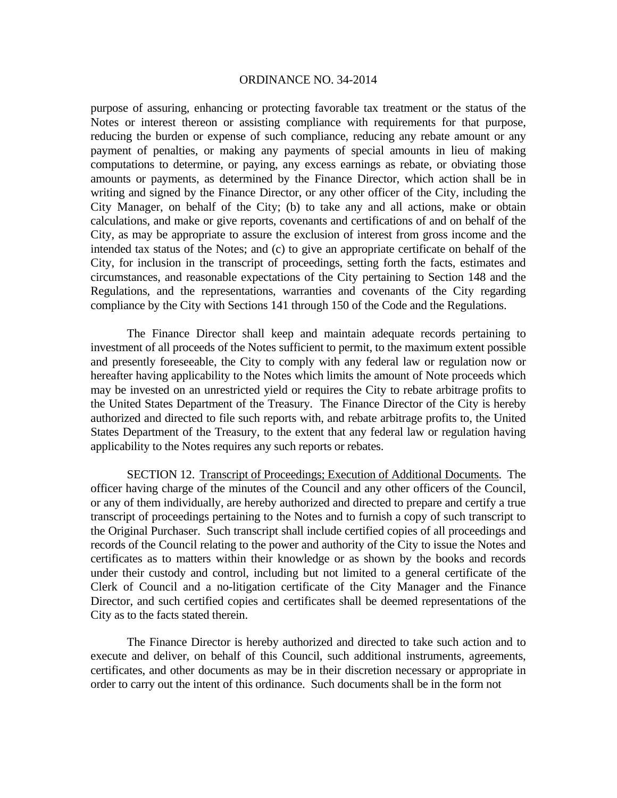purpose of assuring, enhancing or protecting favorable tax treatment or the status of the Notes or interest thereon or assisting compliance with requirements for that purpose, reducing the burden or expense of such compliance, reducing any rebate amount or any payment of penalties, or making any payments of special amounts in lieu of making computations to determine, or paying, any excess earnings as rebate, or obviating those amounts or payments, as determined by the Finance Director, which action shall be in writing and signed by the Finance Director, or any other officer of the City, including the City Manager, on behalf of the City; (b) to take any and all actions, make or obtain calculations, and make or give reports, covenants and certifications of and on behalf of the City, as may be appropriate to assure the exclusion of interest from gross income and the intended tax status of the Notes; and (c) to give an appropriate certificate on behalf of the City, for inclusion in the transcript of proceedings, setting forth the facts, estimates and circumstances, and reasonable expectations of the City pertaining to Section 148 and the Regulations, and the representations, warranties and covenants of the City regarding compliance by the City with Sections 141 through 150 of the Code and the Regulations.

 The Finance Director shall keep and maintain adequate records pertaining to investment of all proceeds of the Notes sufficient to permit, to the maximum extent possible and presently foreseeable, the City to comply with any federal law or regulation now or hereafter having applicability to the Notes which limits the amount of Note proceeds which may be invested on an unrestricted yield or requires the City to rebate arbitrage profits to the United States Department of the Treasury. The Finance Director of the City is hereby authorized and directed to file such reports with, and rebate arbitrage profits to, the United States Department of the Treasury, to the extent that any federal law or regulation having applicability to the Notes requires any such reports or rebates.

SECTION 12. Transcript of Proceedings; Execution of Additional Documents. The officer having charge of the minutes of the Council and any other officers of the Council, or any of them individually, are hereby authorized and directed to prepare and certify a true transcript of proceedings pertaining to the Notes and to furnish a copy of such transcript to the Original Purchaser. Such transcript shall include certified copies of all proceedings and records of the Council relating to the power and authority of the City to issue the Notes and certificates as to matters within their knowledge or as shown by the books and records under their custody and control, including but not limited to a general certificate of the Clerk of Council and a no-litigation certificate of the City Manager and the Finance Director, and such certified copies and certificates shall be deemed representations of the City as to the facts stated therein.

 The Finance Director is hereby authorized and directed to take such action and to execute and deliver, on behalf of this Council, such additional instruments, agreements, certificates, and other documents as may be in their discretion necessary or appropriate in order to carry out the intent of this ordinance. Such documents shall be in the form not